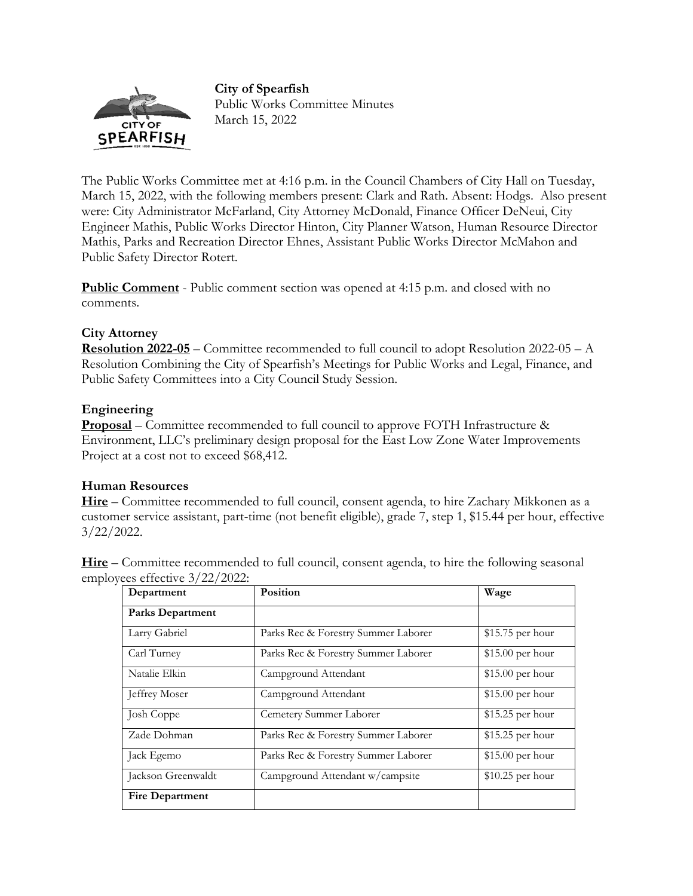**City of Spearfish** 



Public Works Committee Minutes March 15, 2022

The Public Works Committee met at 4:16 p.m. in the Council Chambers of City Hall on Tuesday, March 15, 2022, with the following members present: Clark and Rath. Absent: Hodgs. Also present were: City Administrator McFarland, City Attorney McDonald, Finance Officer DeNeui, City Engineer Mathis, Public Works Director Hinton, City Planner Watson, Human Resource Director Mathis, Parks and Recreation Director Ehnes, Assistant Public Works Director McMahon and Public Safety Director Rotert.

**Public Comment** - Public comment section was opened at 4:15 p.m. and closed with no comments.

# **City Attorney**

**Resolution 2022-05** – Committee recommended to full council to adopt Resolution 2022-05 – A Resolution Combining the City of Spearfish's Meetings for Public Works and Legal, Finance, and Public Safety Committees into a City Council Study Session.

# **Engineering**

**Proposal** – Committee recommended to full council to approve FOTH Infrastructure & Environment, LLC's preliminary design proposal for the East Low Zone Water Improvements Project at a cost not to exceed \$68,412.

# **Human Resources**

**Hire** – Committee recommended to full council, consent agenda, to hire Zachary Mikkonen as a customer service assistant, part-time (not benefit eligible), grade 7, step 1, \$15.44 per hour, effective 3/22/2022.

**Hire** – Committee recommended to full council, consent agenda, to hire the following seasonal employees effective 3/22/2022:

| Department              | Position                            | Wage              |
|-------------------------|-------------------------------------|-------------------|
| <b>Parks Department</b> |                                     |                   |
| Larry Gabriel           | Parks Rec & Forestry Summer Laborer | $$15.75$ per hour |
| Carl Turney             | Parks Rec & Forestry Summer Laborer | \$15.00 per hour  |
| Natalie Elkin           | Campground Attendant                | $$15.00$ per hour |
| Jeffrey Moser           | Campground Attendant                | $$15.00$ per hour |
| Josh Coppe              | Cemetery Summer Laborer             | $$15.25$ per hour |
| Zade Dohman             | Parks Rec & Forestry Summer Laborer | \$15.25 per hour  |
| Jack Egemo              | Parks Rec & Forestry Summer Laborer | $$15.00$ per hour |
| Jackson Greenwaldt      | Campground Attendant w/campsite     | \$10.25 per hour  |
| <b>Fire Department</b>  |                                     |                   |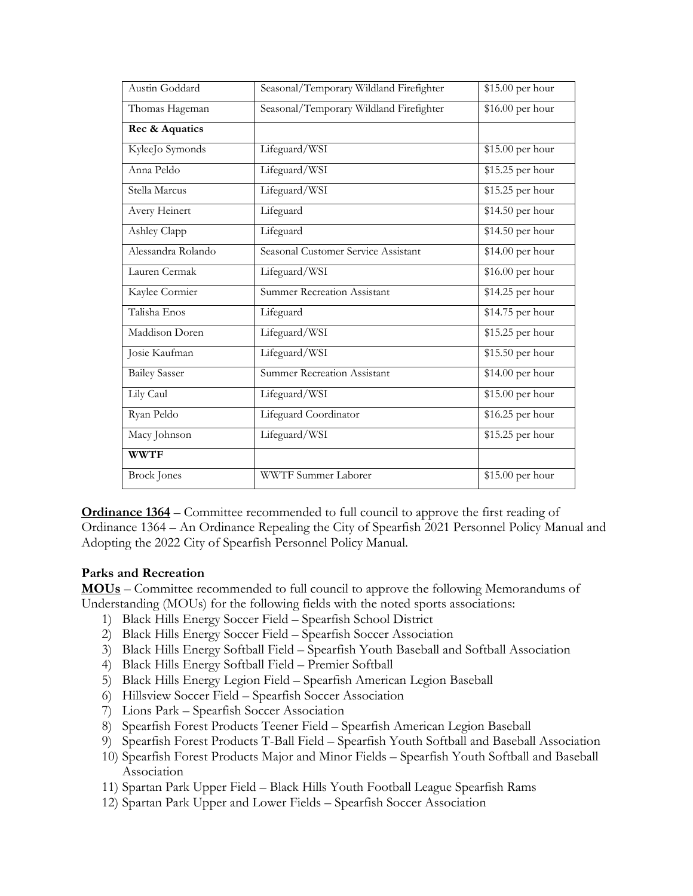| Austin Goddard       | Seasonal/Temporary Wildland Firefighter | \$15.00 per hour         |
|----------------------|-----------------------------------------|--------------------------|
| Thomas Hageman       | Seasonal/Temporary Wildland Firefighter | $\sqrt{$16.00}$ per hour |
| Rec & Aquatics       |                                         |                          |
| KyleeJo Symonds      | Lifeguard/WSI                           | \$15.00 per hour         |
| Anna Peldo           | Lifeguard/WSI                           | \$15.25 per hour         |
| Stella Marcus        | Lifeguard/WSI                           | \$15.25 per hour         |
| Avery Heinert        | Lifeguard                               | $$14.50$ per hour        |
| Ashley Clapp         | Lifeguard                               | $$14.50$ per hour        |
| Alessandra Rolando   | Seasonal Customer Service Assistant     | \$14.00 per hour         |
| Lauren Cermak        | Lifeguard/WSI                           | $$16.00$ per hour        |
| Kaylee Cormier       | <b>Summer Recreation Assistant</b>      | \$14.25 per hour         |
| Talisha Enos         | Lifeguard                               | \$14.75 per hour         |
| Maddison Doren       | Lifeguard/WSI                           | \$15.25 per hour         |
| Josie Kaufman        | Lifeguard/WSI                           | $$15.50$ per hour        |
| <b>Bailey Sasser</b> | <b>Summer Recreation Assistant</b>      | $$14.00$ per hour        |
| Lily Caul            | Lifeguard/WSI                           | \$15.00 per hour         |
| Ryan Peldo           | Lifeguard Coordinator                   | \$16.25 per hour         |
| Macy Johnson         | Lifeguard/WSI                           | \$15.25 per hour         |
| <b>WWTF</b>          |                                         |                          |
| <b>Brock</b> Jones   | WWTF Summer Laborer                     | \$15.00 per hour         |

**Ordinance 1364** – Committee recommended to full council to approve the first reading of Ordinance 1364 – An Ordinance Repealing the City of Spearfish 2021 Personnel Policy Manual and Adopting the 2022 City of Spearfish Personnel Policy Manual.

### **Parks and Recreation**

**MOUs** – Committee recommended to full council to approve the following Memorandums of Understanding (MOUs) for the following fields with the noted sports associations:

- 1) Black Hills Energy Soccer Field Spearfish School District
- 2) Black Hills Energy Soccer Field Spearfish Soccer Association
- 3) Black Hills Energy Softball Field Spearfish Youth Baseball and Softball Association
- 4) Black Hills Energy Softball Field Premier Softball
- 5) Black Hills Energy Legion Field Spearfish American Legion Baseball
- 6) Hillsview Soccer Field Spearfish Soccer Association
- 7) Lions Park Spearfish Soccer Association
- 8) Spearfish Forest Products Teener Field Spearfish American Legion Baseball
- 9) Spearfish Forest Products T-Ball Field Spearfish Youth Softball and Baseball Association
- 10) Spearfish Forest Products Major and Minor Fields Spearfish Youth Softball and Baseball Association
- 11) Spartan Park Upper Field Black Hills Youth Football League Spearfish Rams
- 12) Spartan Park Upper and Lower Fields Spearfish Soccer Association